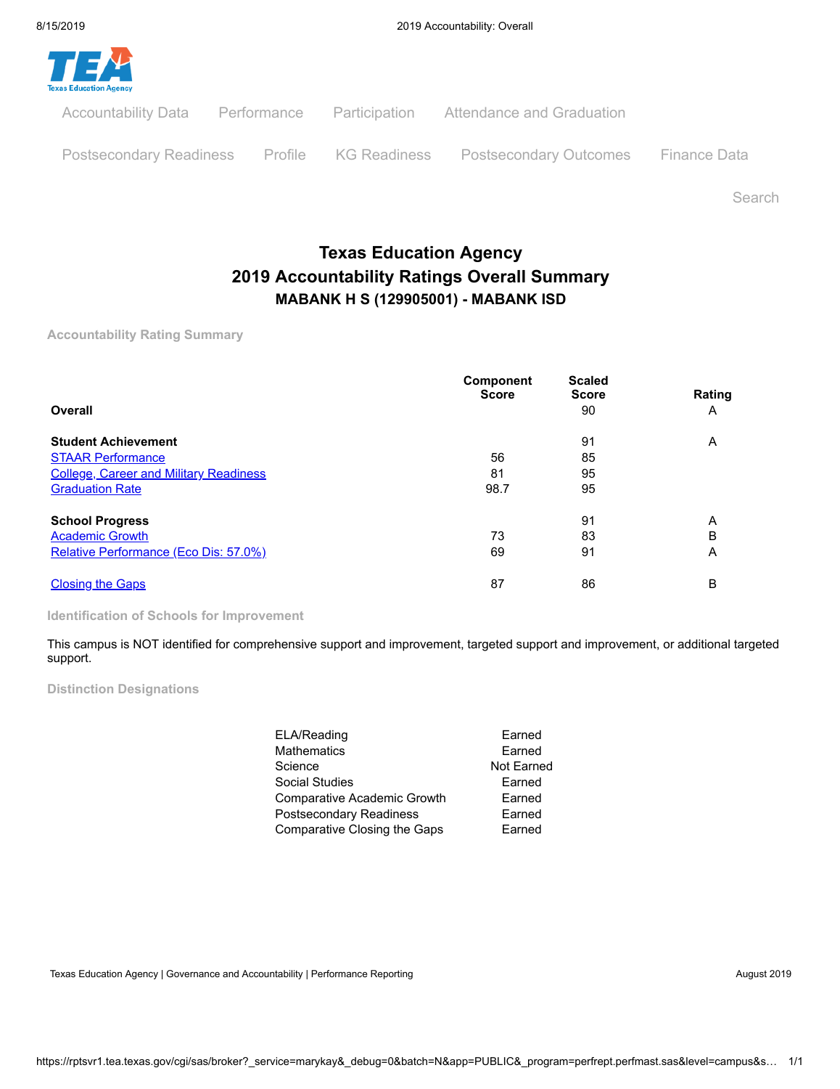

Search

# **Texas Education Agency 2019 Accountability Ratings Overall Summary MABANK H S (129905001) - MABANK ISD**

**Accountability Rating Summary**

| Overall                                       | <b>Component</b><br><b>Score</b> | <b>Scaled</b><br><b>Score</b><br>90 | Rating<br>Α |
|-----------------------------------------------|----------------------------------|-------------------------------------|-------------|
| <b>Student Achievement</b>                    |                                  | 91                                  | A           |
| <b>STAAR Performance</b>                      | 56                               | 85                                  |             |
| <b>College, Career and Military Readiness</b> | 81                               | 95                                  |             |
| <b>Graduation Rate</b>                        | 98.7                             | 95                                  |             |
| <b>School Progress</b>                        |                                  | 91                                  | Α           |
| <b>Academic Growth</b>                        | 73                               | 83                                  | B           |
| Relative Performance (Eco Dis: 57.0%)         | 69                               | 91                                  | Α           |
| <b>Closing the Gaps</b>                       | 87                               | 86                                  | B           |

**Identification of Schools for Improvement**

This campus is NOT identified for comprehensive support and improvement, targeted support and improvement, or additional targeted support.

**Distinction Designations**

| ELA/Reading                  | Earned     |
|------------------------------|------------|
| Mathematics                  | Earned     |
| Science                      | Not Earned |
| Social Studies               | Earned     |
| Comparative Academic Growth  | Earned     |
| Postsecondary Readiness      | Earned     |
| Comparative Closing the Gaps | Earned     |

Texas Education Agency | Governance and Accountability | Performance Reporting August 2019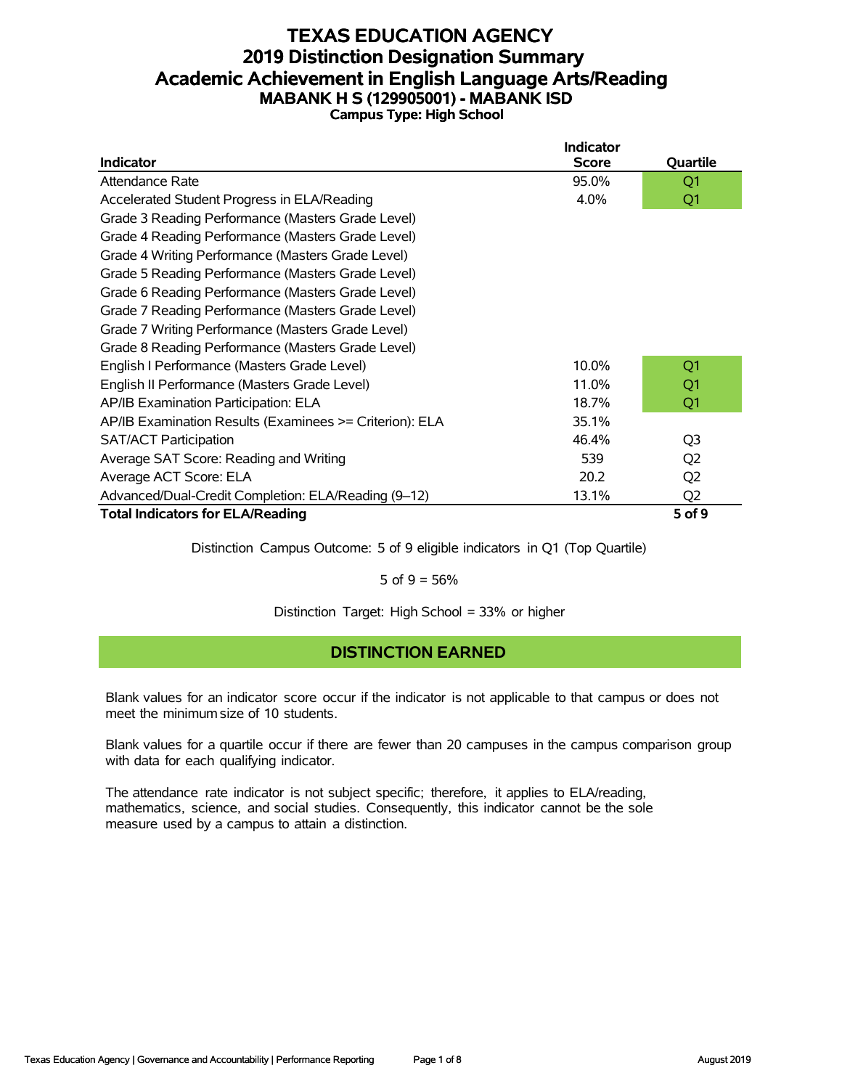# **TEXAS EDUCATION AGENCY 2019 Distinction Designation Summary Academic Achievement in English Language Arts/Reading MABANK H S (129905001) - MABANK ISD Campus Type: High School**

|                                                         | <b>Indicator</b> |                |
|---------------------------------------------------------|------------------|----------------|
| <b>Indicator</b>                                        | <b>Score</b>     | Quartile       |
| Attendance Rate                                         | 95.0%            | Q <sub>1</sub> |
| Accelerated Student Progress in ELA/Reading             | 4.0%             | Q1             |
| Grade 3 Reading Performance (Masters Grade Level)       |                  |                |
| Grade 4 Reading Performance (Masters Grade Level)       |                  |                |
| Grade 4 Writing Performance (Masters Grade Level)       |                  |                |
| Grade 5 Reading Performance (Masters Grade Level)       |                  |                |
| Grade 6 Reading Performance (Masters Grade Level)       |                  |                |
| Grade 7 Reading Performance (Masters Grade Level)       |                  |                |
| Grade 7 Writing Performance (Masters Grade Level)       |                  |                |
| Grade 8 Reading Performance (Masters Grade Level)       |                  |                |
| English I Performance (Masters Grade Level)             | 10.0%            | Q <sub>1</sub> |
| English II Performance (Masters Grade Level)            | 11.0%            | Q1             |
| AP/IB Examination Participation: ELA                    | 18.7%            | Q1             |
| AP/IB Examination Results (Examinees >= Criterion): ELA | 35.1%            |                |
| <b>SAT/ACT Participation</b>                            | 46.4%            | Q <sub>3</sub> |
| Average SAT Score: Reading and Writing                  | 539              | Q <sub>2</sub> |
| Average ACT Score: ELA                                  | 20.2             | Q <sub>2</sub> |
| Advanced/Dual-Credit Completion: ELA/Reading (9-12)     | 13.1%            | Q <sub>2</sub> |
| <b>Total Indicators for ELA/Reading</b>                 |                  | 5 of 9         |

Distinction Campus Outcome: 5 of 9 eligible indicators in Q1 (Top Quartile)

5 of  $9 = 56%$ 

Distinction Target: High School = 33% or higher

# **DISTINCTION EARNED**

Blank values for an indicator score occur if the indicator is not applicable to that campus or does not meet the minimum size of 10 students.

Blank values for a quartile occur if there are fewer than 20 campuses in the campus comparison group with data for each qualifying indicator.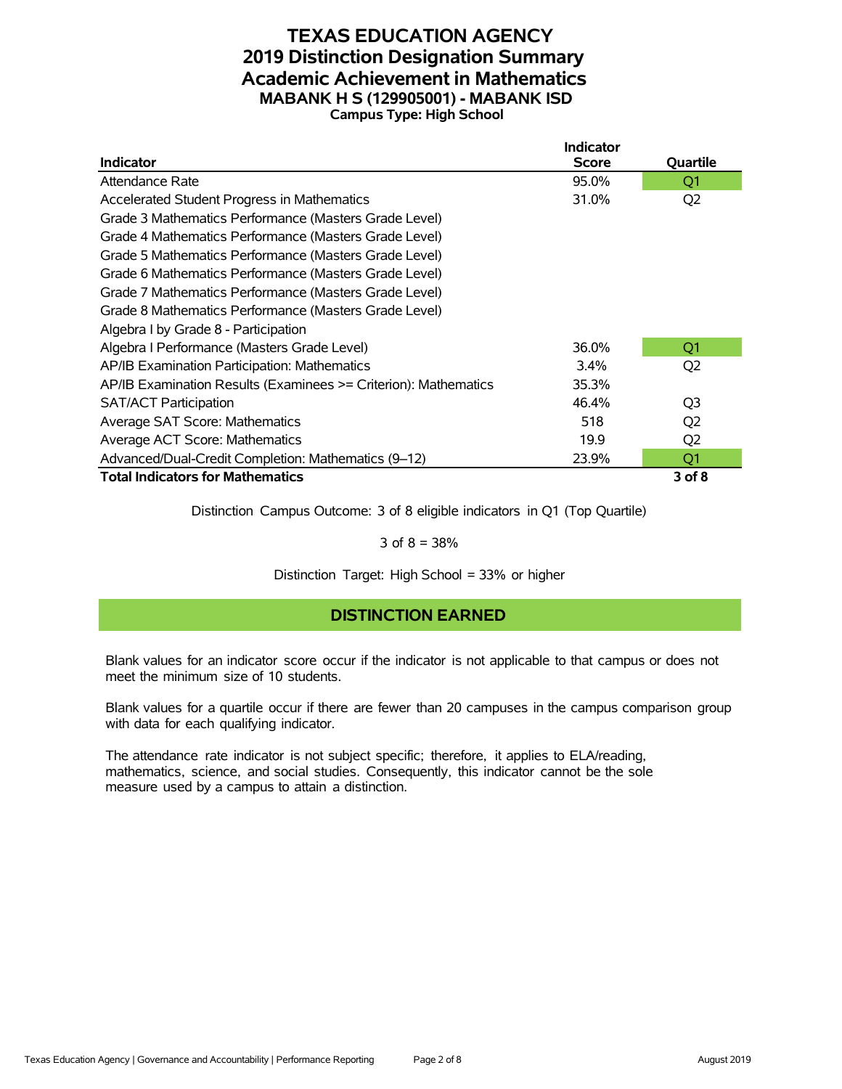### **TEXAS EDUCATION AGENCY 2019 Distinction Designation Summary Academic Achievement in Mathematics MABANK H S (129905001) - MABANK ISD Campus Type: High School**

|                                                                 | <b>Indicator</b> |                |
|-----------------------------------------------------------------|------------------|----------------|
| <b>Indicator</b>                                                | <b>Score</b>     | Quartile       |
| Attendance Rate                                                 | 95.0%            | Q1             |
| Accelerated Student Progress in Mathematics                     | 31.0%            | Q <sub>2</sub> |
| Grade 3 Mathematics Performance (Masters Grade Level)           |                  |                |
| Grade 4 Mathematics Performance (Masters Grade Level)           |                  |                |
| Grade 5 Mathematics Performance (Masters Grade Level)           |                  |                |
| Grade 6 Mathematics Performance (Masters Grade Level)           |                  |                |
| Grade 7 Mathematics Performance (Masters Grade Level)           |                  |                |
| Grade 8 Mathematics Performance (Masters Grade Level)           |                  |                |
| Algebra I by Grade 8 - Participation                            |                  |                |
| Algebra I Performance (Masters Grade Level)                     | 36.0%            | Q <sub>1</sub> |
| AP/IB Examination Participation: Mathematics                    | $3.4\%$          | Q <sub>2</sub> |
| AP/IB Examination Results (Examinees >= Criterion): Mathematics | 35.3%            |                |
| <b>SAT/ACT Participation</b>                                    | 46.4%            | Q <sub>3</sub> |
| Average SAT Score: Mathematics                                  | 518              | Q <sub>2</sub> |
| Average ACT Score: Mathematics                                  | 19.9             | Q <sub>2</sub> |
| Advanced/Dual-Credit Completion: Mathematics (9-12)             | 23.9%            | Q1             |
| <b>Total Indicators for Mathematics</b>                         |                  | $3$ of $8$     |

Distinction Campus Outcome: 3 of 8 eligible indicators in Q1 (Top Quartile)

3 of  $8 = 38%$ 

Distinction Target: High School = 33% or higher

# **DISTINCTION EARNED**

Blank values for an indicator score occur if the indicator is not applicable to that campus or does not meet the minimum size of 10 students.

Blank values for a quartile occur if there are fewer than 20 campuses in the campus comparison group with data for each qualifying indicator.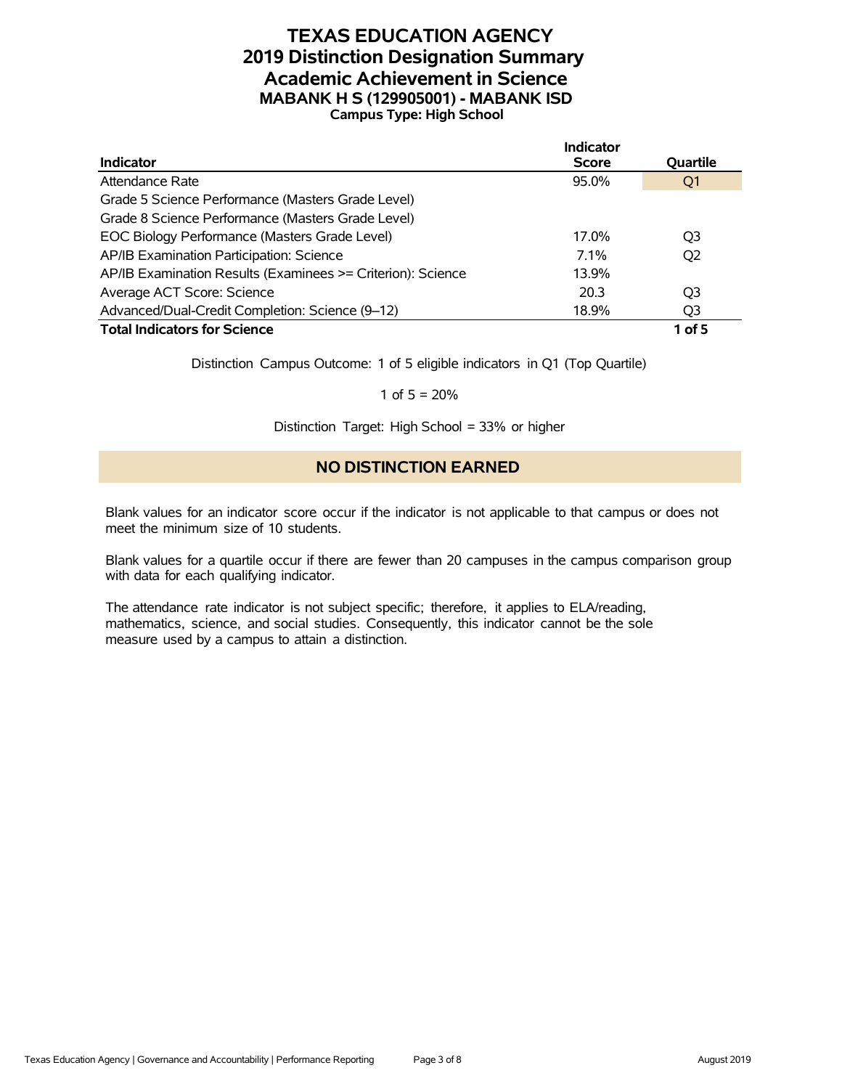# **TEXAS EDUCATION AGENCY 2019 Distinction Designation Summary Academic Achievement in Science MABANK H S (129905001) - MABANK ISD Campus Type: High School**

|                                                             | Indicator    |                 |
|-------------------------------------------------------------|--------------|-----------------|
| <b>Indicator</b>                                            | <b>Score</b> | <b>Ouartile</b> |
| Attendance Rate                                             | 95.0%        | Q1              |
| Grade 5 Science Performance (Masters Grade Level)           |              |                 |
| Grade 8 Science Performance (Masters Grade Level)           |              |                 |
| EOC Biology Performance (Masters Grade Level)               | 17.0%        | O <sub>3</sub>  |
| AP/IB Examination Participation: Science                    | $7.1\%$      | O <sub>2</sub>  |
| AP/IB Examination Results (Examinees >= Criterion): Science | 13.9%        |                 |
| Average ACT Score: Science                                  | 20.3         | O3              |
| Advanced/Dual-Credit Completion: Science (9-12)             | 18.9%        | Q <sub>3</sub>  |
| <b>Total Indicators for Science</b>                         |              | $1$ of 5        |

Distinction Campus Outcome: 1 of 5 eligible indicators in Q1 (Top Quartile)

1 of  $5 = 20%$ 

Distinction Target: High School = 33% or higher

#### **NO DISTINCTION EARNED**

Blank values for an indicator score occur if the indicator is not applicable to that campus or does not meet the minimum size of 10 students.

Blank values for a quartile occur if there are fewer than 20 campuses in the campus comparison group with data for each qualifying indicator.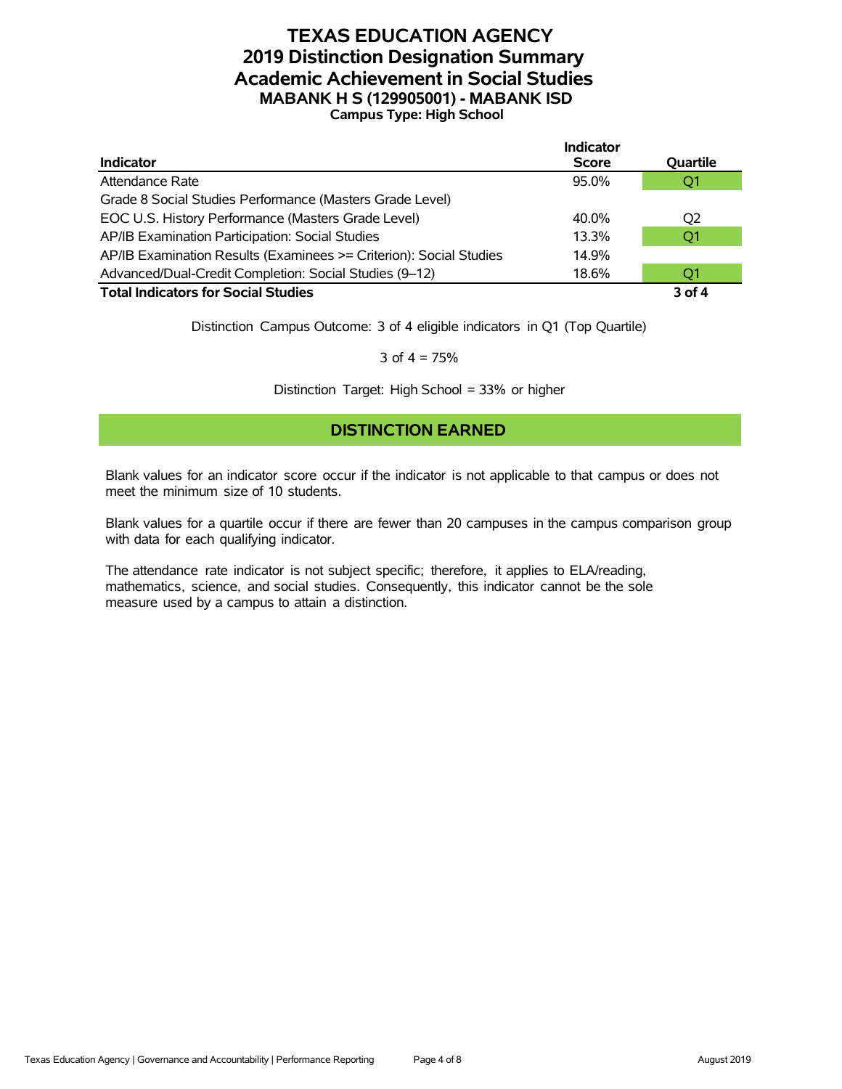# **TEXAS EDUCATION AGENCY 2019 Distinction Designation Summary Academic Achievement in Social Studies MABANK H S (129905001) - MABANK ISD Campus Type: High School**

|                                                                    | <b>Indicator</b> |                |
|--------------------------------------------------------------------|------------------|----------------|
| <b>Indicator</b>                                                   | <b>Score</b>     | Quartile       |
| Attendance Rate                                                    | 95.0%            | O <sub>1</sub> |
| Grade 8 Social Studies Performance (Masters Grade Level)           |                  |                |
| EOC U.S. History Performance (Masters Grade Level)                 | 40.0%            | O <sub>2</sub> |
| AP/IB Examination Participation: Social Studies                    | 13.3%            | Q <sub>1</sub> |
| AP/IB Examination Results (Examinees >= Criterion): Social Studies | 14.9%            |                |
| Advanced/Dual-Credit Completion: Social Studies (9-12)             | 18.6%            | O1             |
| <b>Total Indicators for Social Studies</b>                         |                  | 3 of 4         |

Distinction Campus Outcome: 3 of 4 eligible indicators in Q1 (Top Quartile)

3 of  $4 = 75%$ 

Distinction Target: High School = 33% or higher

#### **DISTINCTION EARNED**

Blank values for an indicator score occur if the indicator is not applicable to that campus or does not meet the minimum size of 10 students.

Blank values for a quartile occur if there are fewer than 20 campuses in the campus comparison group with data for each qualifying indicator.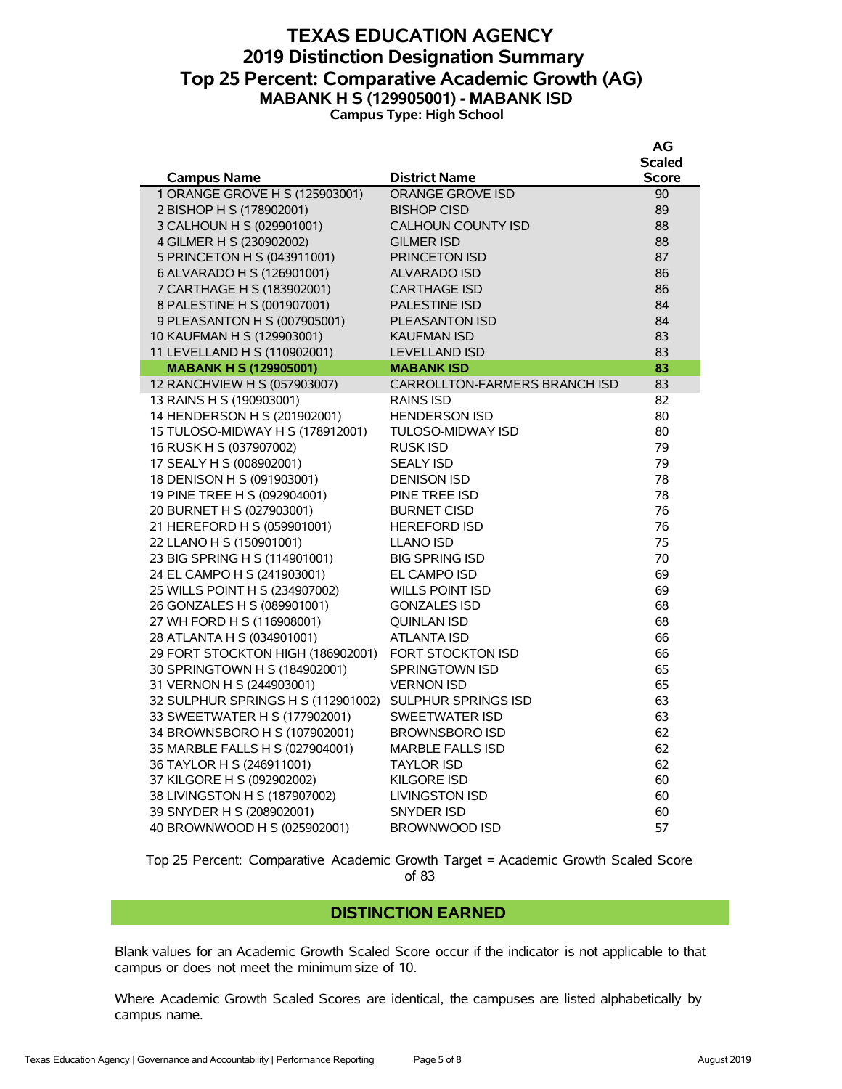### **TEXAS EDUCATION AGENCY 2019 Distinction Designation Summary Top 25 Percent: Comparative Academic Growth (AG) MABANK H S (129905001) - MABANK ISD Campus Type: High School**

|                                    |                                      | AG            |
|------------------------------------|--------------------------------------|---------------|
|                                    |                                      | <b>Scaled</b> |
| <b>Campus Name</b>                 | <b>District Name</b>                 | <b>Score</b>  |
| 1 ORANGE GROVE H S (125903001)     | <b>ORANGE GROVE ISD</b>              | 90            |
| 2 BISHOP H S (178902001)           | <b>BISHOP CISD</b>                   | 89            |
| 3 CALHOUN H S (029901001)          | <b>CALHOUN COUNTY ISD</b>            | 88            |
| 4 GILMER H S (230902002)           | <b>GILMER ISD</b>                    | 88            |
| 5 PRINCETON H S (043911001)        | <b>PRINCETON ISD</b>                 | 87            |
| 6 ALVARADO H S (126901001)         | <b>ALVARADO ISD</b>                  | 86            |
| 7 CARTHAGE H S (183902001)         | <b>CARTHAGE ISD</b>                  | 86            |
| 8 PALESTINE H S (001907001)        | <b>PALESTINE ISD</b>                 | 84            |
| 9 PLEASANTON H S (007905001)       | <b>PLEASANTON ISD</b>                | 84            |
| 10 KAUFMAN H S (129903001)         | KAUFMAN ISD                          | 83            |
| 11 LEVELLAND H S (110902001)       | <b>LEVELLAND ISD</b>                 | 83            |
| <b>MABANK H S (129905001)</b>      | <b>MABANK ISD</b>                    | 83            |
| 12 RANCHVIEW H S (057903007)       | <b>CARROLLTON-FARMERS BRANCH ISD</b> | 83            |
| 13 RAINS H S (190903001)           | <b>RAINS ISD</b>                     | 82            |
| 14 HENDERSON H S (201902001)       | <b>HENDERSON ISD</b>                 | 80            |
| 15 TULOSO-MIDWAY H S (178912001)   | <b>TULOSO-MIDWAY ISD</b>             | 80            |
| 16 RUSK H S (037907002)            | <b>RUSK ISD</b>                      | 79            |
| 17 SEALY H S (008902001)           | <b>SEALY ISD</b>                     | 79            |
| 18 DENISON H S (091903001)         | <b>DENISON ISD</b>                   | 78            |
| 19 PINE TREE H S (092904001)       | PINE TREE ISD                        | 78            |
| 20 BURNET H S (027903001)          | <b>BURNET CISD</b>                   | 76            |
| 21 HEREFORD H S (059901001)        | <b>HEREFORD ISD</b>                  | 76            |
| 22 LLANO H S (150901001)           | <b>LLANO ISD</b>                     | 75            |
| 23 BIG SPRING H S (114901001)      | <b>BIG SPRING ISD</b>                | 70            |
| 24 EL CAMPO H S (241903001)        | <b>EL CAMPO ISD</b>                  | 69            |
| 25 WILLS POINT H S (234907002)     | <b>WILLS POINT ISD</b>               | 69            |
| 26 GONZALES H S (089901001)        | <b>GONZALES ISD</b>                  | 68            |
| 27 WH FORD H S (116908001)         | <b>QUINLAN ISD</b>                   | 68            |
| 28 ATLANTA H S (034901001)         | <b>ATLANTA ISD</b>                   | 66            |
| 29 FORT STOCKTON HIGH (186902001)  | FORT STOCKTON ISD                    | 66            |
| 30 SPRINGTOWN H S (184902001)      | <b>SPRINGTOWN ISD</b>                | 65            |
| 31 VERNON H S (244903001)          | <b>VERNON ISD</b>                    | 65            |
| 32 SULPHUR SPRINGS H S (112901002) | SULPHUR SPRINGS ISD                  | 63            |
| 33 SWEETWATER H S (177902001)      | <b>SWEETWATER ISD</b>                | 63            |
| 34 BROWNSBORO H S (107902001)      | <b>BROWNSBORO ISD</b>                | 62            |
| 35 MARBLE FALLS H S (027904001)    | <b>MARBLE FALLS ISD</b>              | 62            |
| 36 TAYLOR H S (246911001)          | <b>TAYLOR ISD</b>                    | 62            |
| 37 KILGORE H S (092902002)         | <b>KILGORE ISD</b>                   | 60            |
| 38 LIVINGSTON H S (187907002)      | <b>LIVINGSTON ISD</b>                | 60            |
| 39 SNYDER H S (208902001)          | SNYDER ISD                           | 60            |
| 40 BROWNWOOD H S (025902001)       | <b>BROWNWOOD ISD</b>                 | 57            |

Top 25 Percent: Comparative Academic Growth Target = Academic Growth Scaled Score of 83

#### **DISTINCTION EARNED**

Blank values for an Academic Growth Scaled Score occur if the indicator is not applicable to that campus or does not meet the minimum size of 10.

Where Academic Growth Scaled Scores are identical, the campuses are listed alphabetically by campus name.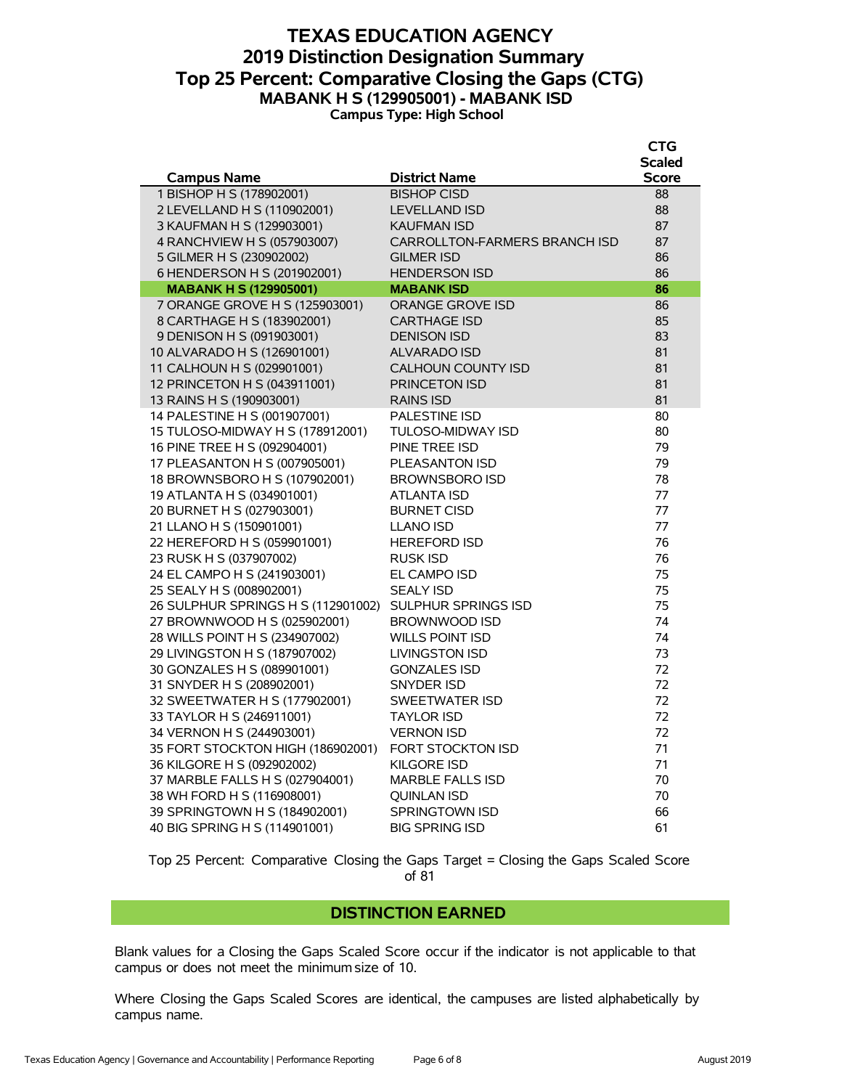### **TEXAS EDUCATION AGENCY 2019 Distinction Designation Summary Top 25 Percent: Comparative Closing the Gaps (CTG) MABANK H S (129905001) - MABANK ISD Campus Type: High School**

|                                                            |                                            | <b>CTG</b>    |
|------------------------------------------------------------|--------------------------------------------|---------------|
|                                                            |                                            | <b>Scaled</b> |
| <b>Campus Name</b><br>1 BISHOP H S (178902001)             | <b>District Name</b><br><b>BISHOP CISD</b> | Score<br>88   |
| 2 LEVELLAND H S (110902001)                                | <b>LEVELLAND ISD</b>                       | 88            |
| 3 KAUFMAN H S (129903001)                                  | <b>KAUFMAN ISD</b>                         | 87            |
| 4 RANCHVIEW H S (057903007)                                | CARROLLTON-FARMERS BRANCH ISD              | 87            |
| 5 GILMER H S (230902002)                                   | <b>GILMER ISD</b>                          | 86            |
| 6 HENDERSON H S (201902001)                                | <b>HENDERSON ISD</b>                       | 86            |
| <b>MABANK H S (129905001)</b>                              | <b>MABANK ISD</b>                          | 86            |
| 7 ORANGE GROVE H S (125903001)                             | <b>ORANGE GROVE ISD</b>                    | 86            |
| 8 CARTHAGE H S (183902001)                                 | <b>CARTHAGE ISD</b>                        | 85            |
| 9 DENISON H S (091903001)                                  | <b>DENISON ISD</b>                         | 83            |
| 10 ALVARADO H S (126901001)                                | <b>ALVARADO ISD</b>                        | 81            |
| 11 CALHOUN H S (029901001)                                 | <b>CALHOUN COUNTY ISD</b>                  | 81            |
| 12 PRINCETON H S (043911001)                               | <b>PRINCETON ISD</b>                       | 81            |
| 13 RAINS H S (190903001)                                   | <b>RAINS ISD</b>                           | 81            |
| 14 PALESTINE H S (001907001)                               | <b>PALESTINE ISD</b>                       | 80            |
| 15 TULOSO-MIDWAY H S (178912001)                           | <b>TULOSO-MIDWAY ISD</b>                   | 80            |
| 16 PINE TREE H S (092904001)                               | PINE TREE ISD                              | 79            |
| 17 PLEASANTON H S (007905001)                              | <b>PLEASANTON ISD</b>                      | 79            |
| 18 BROWNSBORO H S (107902001)                              | <b>BROWNSBORO ISD</b>                      | 78            |
| 19 ATLANTA H S (034901001)                                 | ATLANTA ISD                                | 77            |
| 20 BURNET H S (027903001)                                  | <b>BURNET CISD</b>                         | 77            |
| 21 LLANO H S (150901001)                                   | <b>LLANO ISD</b>                           | 77            |
| 22 HEREFORD H S (059901001)                                | <b>HEREFORD ISD</b>                        | 76            |
| 23 RUSK H S (037907002)                                    | <b>RUSK ISD</b>                            | 76            |
| 24 EL CAMPO H S (241903001)                                | EL CAMPO ISD                               | 75            |
| 25 SEALY H S (008902001)                                   | <b>SEALY ISD</b>                           | 75            |
| 26 SULPHUR SPRINGS H S (112901002)                         | <b>SULPHUR SPRINGS ISD</b>                 | 75            |
| 27 BROWNWOOD H S (025902001)                               | <b>BROWNWOOD ISD</b>                       | 74            |
| 28 WILLS POINT H S (234907002)                             | <b>WILLS POINT ISD</b>                     | 74            |
| 29 LIVINGSTON H S (187907002)                              | <b>LIVINGSTON ISD</b>                      | 73            |
| 30 GONZALES H S (089901001)                                | <b>GONZALES ISD</b>                        | 72            |
| 31 SNYDER H S (208902001)                                  | SNYDER ISD<br><b>SWEETWATER ISD</b>        | 72<br>72      |
| 32 SWEETWATER H S (177902001)<br>33 TAYLOR H S (246911001) |                                            | 72            |
| 34 VERNON H S (244903001)                                  | <b>TAYLOR ISD</b><br><b>VERNON ISD</b>     | 72            |
| 35 FORT STOCKTON HIGH (186902001)                          | <b>FORT STOCKTON ISD</b>                   | 71            |
| 36 KILGORE H S (092902002)                                 | <b>KILGORE ISD</b>                         | 71            |
| 37 MARBLE FALLS H S (027904001)                            | <b>MARBLE FALLS ISD</b>                    | 70            |
| 38 WH FORD H S (116908001)                                 | <b>OUINLAN ISD</b>                         | 70            |
| 39 SPRINGTOWN H S (184902001)                              | <b>SPRINGTOWN ISD</b>                      | 66            |
| 40 BIG SPRING H S (114901001)                              | <b>BIG SPRING ISD</b>                      | 61            |
|                                                            |                                            |               |

Top 25 Percent: Comparative Closing the Gaps Target = Closing the Gaps Scaled Score of 81

#### **DISTINCTION EARNED**

Blank values for a Closing the Gaps Scaled Score occur if the indicator is not applicable to that campus or does not meet the minimum size of 10.

Where Closing the Gaps Scaled Scores are identical, the campuses are listed alphabetically by campus name.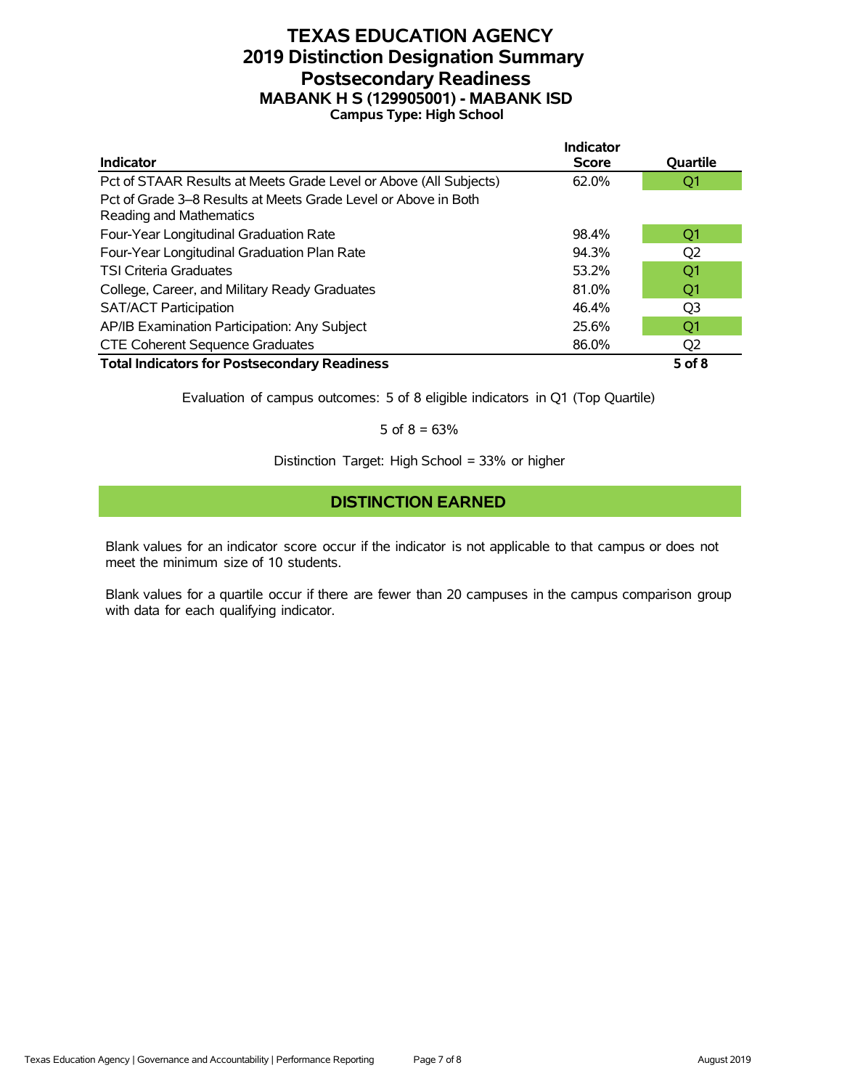# **TEXAS EDUCATION AGENCY 2019 Distinction Designation Summary Postsecondary Readiness MABANK H S (129905001) - MABANK ISD Campus Type: High School**

|                                                                                           | <b>Indicator</b> |            |
|-------------------------------------------------------------------------------------------|------------------|------------|
| <b>Indicator</b>                                                                          | <b>Score</b>     | Quartile   |
| Pct of STAAR Results at Meets Grade Level or Above (All Subjects)                         | 62.0%            | Q1         |
| Pct of Grade 3–8 Results at Meets Grade Level or Above in Both<br>Reading and Mathematics |                  |            |
| Four-Year Longitudinal Graduation Rate                                                    | 98.4%            | O1         |
| Four-Year Longitudinal Graduation Plan Rate                                               | 94.3%            | Q2         |
| <b>TSI Criteria Graduates</b>                                                             | 53.2%            | Q1         |
| College, Career, and Military Ready Graduates                                             | 81.0%            | O1         |
| <b>SAT/ACT Participation</b>                                                              | 46.4%            | O3         |
| AP/IB Examination Participation: Any Subject                                              | 25.6%            | Q1         |
| <b>CTE Coherent Sequence Graduates</b>                                                    | 86.0%            | Q2         |
| <b>Total Indicators for Postsecondary Readiness</b>                                       |                  | $5$ of $8$ |

Evaluation of campus outcomes: 5 of 8 eligible indicators in Q1 (Top Quartile)

5 of  $8 = 63%$ 

Distinction Target: High School = 33% or higher

#### **DISTINCTION EARNED**

Blank values for an indicator score occur if the indicator is not applicable to that campus or does not meet the minimum size of 10 students.

Blank values for a quartile occur if there are fewer than 20 campuses in the campus comparison group with data for each qualifying indicator.